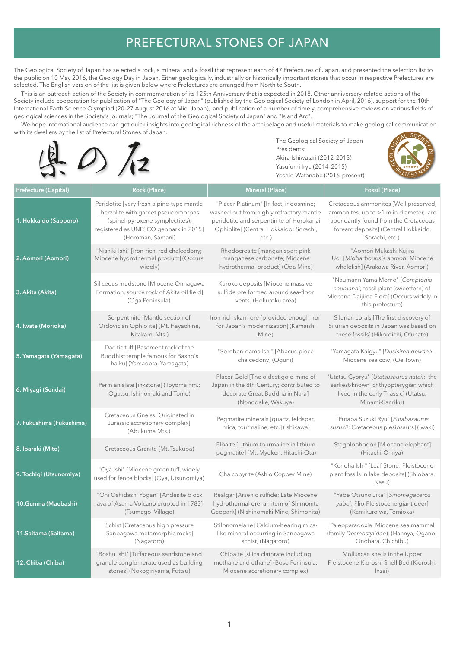## PREFECTURAL STONES OF JAPAN

The Geological Society of Japan has selected a rock, a mineral and a fossil that represent each of 47 Prefectures of Japan, and presented the selection list to the public on 10 May 2016, the Geology Day in Japan. Either geologically, industrially or historically important stones that occur in respective Prefectures are selected. The English version of the list is given below where Prefectures are arranged from North to South.

 This is an outreach action of the Society in commemoration of its 125th Anniversary that is expected in 2018. Other anniversary-related actions of the Society include cooperation for publication of "The Geology of Japan" (published by the Geological Society of London in April, 2016), support for the 10th International Earth Science Olympiad (20–27 August 2016 at Mie, Japan), and publication of a number of timely, comprehensive reviews on various fields of geological sciences in the Society's journals; "The Journal of the Geological Society of Japan" and "Island Arc".

 We hope international audience can get quick insights into geological richness of the archipelago and useful materials to make geological communication with its dwellers by the list of Prefectural Stones of Japan.



 The Geological Society of Japan Akira Ishiwatari (2012–2013) Yasufumi Iryu (2014–2015) Yoshio Watanabe (2016–present)



| <b>Prefecture (Capital)</b> | Rock (Place)                                                                                                                                                                      | <b>Mineral (Place)</b>                                                                                                                                                            | Fossil (Place)                                                                                                                                                                    |
|-----------------------------|-----------------------------------------------------------------------------------------------------------------------------------------------------------------------------------|-----------------------------------------------------------------------------------------------------------------------------------------------------------------------------------|-----------------------------------------------------------------------------------------------------------------------------------------------------------------------------------|
| 1. Hokkaido (Sapporo)       | Peridotite [very fresh alpine-type mantle<br>Iherzolite with garnet pseudomorphs<br>(spinel-pyroxene symplectites);<br>registered as UNESCO geopark in 2015]<br>(Horoman, Samani) | "Placer Platinum" [In fact, iridosmine;<br>washed out from highly refractory mantle<br>peridotite and serpentinite of Horokanai<br>Ophiolite] (Central Hokkaido; Sorachi,<br>etc. | Cretaceous ammonites [Well preserved,<br>ammonites, up to >1 m in diameter, are<br>abundantly found from the Cretaceous<br>forearc deposits] (Central Hokkaido,<br>Sorachi, etc.) |
| 2. Aomori (Aomori)          | "Nishiki Ishi" [iron-rich, red chalcedony;<br>Miocene hydrothermal product] (Occurs<br>widely)                                                                                    | Rhodocrosite [mangan spar; pink<br>manganese carbonate; Miocene<br>hydrothermal product] (Oda Mine)                                                                               | "Aomori Mukashi Kujira<br>Uo" [Miobarbourisia aomori; Miocene<br>whalefish] (Arakawa River, Aomori)                                                                               |
| 3. Akita (Akita)            | Siliceous mudstone [Miocene Onnagawa<br>Formation, source rock of Akita oil field]<br>(Oga Peninsula)                                                                             | Kuroko deposits [Miocene massive<br>sulfide ore formed around sea-floor<br>ventsl (Hokuroku area)                                                                                 | "Naumann Yama Momo" [Comptonia<br>naumanni; fossil plant (sweetfern) of<br>Miocene Daijima Flora] (Occurs widely in<br>this prefecture)                                           |
| 4. Iwate (Morioka)          | Serpentinite [Mantle section of<br>Ordovician Ophiolite] (Mt. Hayachine,<br>Kitakami Mts.)                                                                                        | Iron-rich skarn ore [provided enough iron<br>for Japan's modernization] (Kamaishi<br>Mine)                                                                                        | Silurian corals [The first discovery of<br>Silurian deposits in Japan was based on<br>these fossils] (Hikoroichi, Ofunato)                                                        |
| 5. Yamagata (Yamagata)      | Dacitic tuff [Basement rock of the<br>Buddhist temple famous for Basho's<br>haiku] (Yamadera, Yamagata)                                                                           | "Soroban-dama Ishi" [Abacus-piece<br>chalcedony] (Oguni)                                                                                                                          | "Yamagata Kaigyu" [Dusisiren dewana;<br>Miocene sea cow] (Oe Town)                                                                                                                |
| 6. Miyagi (Sendai)          | Permian slate [inkstone] (Toyoma Fm.;<br>Ogatsu, Ishinomaki and Tome)                                                                                                             | Placer Gold [The oldest gold mine of<br>Japan in the 8th Century; contributed to<br>decorate Great Buddha in Nara]<br>(Nonodake, Wakuya)                                          | "Utatsu Gyoryu" [Utatsusaurus hataii; the<br>earliest-known ichthyopterygian which<br>lived in the early Triassic] (Utatsu,<br>Minami-Sanriku)                                    |
| 7. Fukushima (Fukushima)    | Cretaceous Gneiss [Originated in<br>Jurassic accretionary complex]<br>(Abukuma Mts.)                                                                                              | Pegmatite minerals [quartz, feldspar,<br>mica, tourmaline, etc.] (Ishikawa)                                                                                                       | "Futaba Suzuki Ryu" [Futabasaurus<br>suzukii; Cretaceous plesiosaurs] (Iwaki)                                                                                                     |
| 8. Ibaraki (Mito)           | Cretaceous Granite (Mt. Tsukuba)                                                                                                                                                  | Elbaite [Lithium tourmaline in lithium<br>pegmatite] (Mt. Myoken, Hitachi-Ota)                                                                                                    | Stegolophodon [Miocene elephant]<br>(Hitachi-Omiya)                                                                                                                               |
| 9. Tochigi (Utsunomiya)     | "Oya Ishi" [Miocene green tuff, widely<br>used for fence blocks] (Oya, Utsunomiya)                                                                                                | Chalcopyrite (Ashio Copper Mine)                                                                                                                                                  | "Konoha Ishi" [Leaf Stone; Pleistocene<br>plant fossils in lake deposits] (Shiobara,<br>Nasu)                                                                                     |
| 10.Gunma (Maebashi)         | "Oni Oshidashi Yogan" [Andesite block<br>lava of Asama Volcano erupted in 1783]<br>(Tsumagoi Village)                                                                             | Realgar [Arsenic sulfide; Late Miocene<br>hydrothermal ore, an item of Shimonita<br>Geopark] (Nishinomaki Mine, Shimonita)                                                        | "Yabe Otsuno Jika" [Sinomegaceros<br>yabei; Plio-Pleistocene giant deer]<br>(Kamikuroiwa, Tomioka)                                                                                |
| 11. Saitama (Saitama)       | Schist [Cretaceous high pressure<br>Sanbagawa metamorphic rocks]<br>(Nagatoro)                                                                                                    | Stilpnomelane [Calcium-bearing mica-<br>like mineral occurring in Sanbagawa<br>schist] (Nagatoro)                                                                                 | Paleoparadoxia [Miocene sea mammal<br>(family Desmostylidae)] (Hannya, Ogano;<br>Onohara, Chichibu)                                                                               |
| 12. Chiba (Chiba)           | "Boshu Ishi" [Tuffaceous sandstone and<br>granule conglomerate used as building<br>stones] (Nokogiriyama, Futtsu)                                                                 | Chibaite [silica clathrate including<br>methane and ethane] (Boso Peninsula;<br>Miocene accretionary complex)                                                                     | Molluscan shells in the Upper<br>Pleistocene Kioroshi Shell Bed (Kioroshi,<br>Inzai)                                                                                              |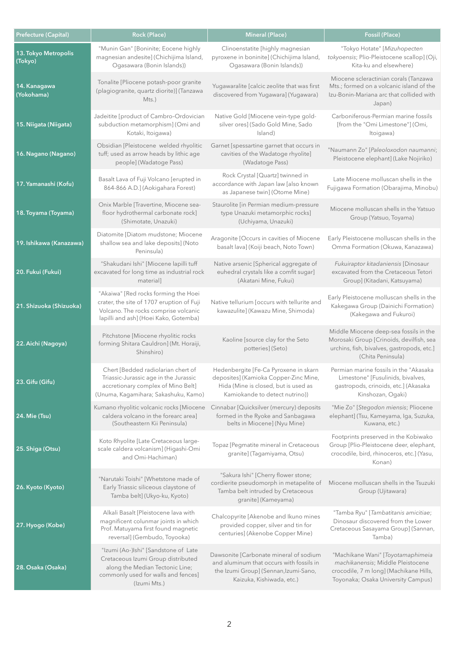| Prefecture (Capital)            | Rock (Place)                                                                                                                                                         | <b>Mineral (Place)</b>                                                                                                                                   | Fossil (Place)                                                                                                                                         |
|---------------------------------|----------------------------------------------------------------------------------------------------------------------------------------------------------------------|----------------------------------------------------------------------------------------------------------------------------------------------------------|--------------------------------------------------------------------------------------------------------------------------------------------------------|
| 13. Tokyo Metropolis<br>(Tokyo) | "Munin Gan" [Boninite; Eocene highly<br>magnesian andesite] (Chichijima Island,<br>Ogasawara (Bonin Islands))                                                        | Clinoenstatite [highly magnesian<br>pyroxene in boninite] (Chichijima Island,<br>Ogasawara (Bonin Islands))                                              | "Tokyo Hotate" [Mizuhopecten<br>tokyoensis; Plio-Pleistocene scallop] (Oji,<br>Kita-ku and elsewhere)                                                  |
| 14. Kanagawa<br>(Yokohama)      | Tonalite [Pliocene potash-poor granite<br>(plagiogranite, quartz diorite)] (Tanzawa<br>$Mts.$ )                                                                      | Yugawaralite [calcic zeolite that was first<br>discovered from Yugawara] (Yugawara)                                                                      | Miocene scleractinian corals (Tanzawa<br>Mts.; formed on a volcanic island of the<br>Izu-Bonin-Mariana arc that collided with<br>Japan)                |
| 15. Niigata (Niigata)           | Jadeitite [product of Cambro-Ordovician<br>subduction metamorphism] (Omi and<br>Kotaki, Itoigawa)                                                                    | Native Gold [Miocene vein-type gold-<br>silver ores] (Sado Gold Mine, Sado<br>Island)                                                                    | Carboniferous-Permian marine fossils<br>[from the "Omi Limestone"] (Omi,<br>Itoigawa)                                                                  |
| 16. Nagano (Nagano)             | Obsidian [Pleistocene welded rhyolitic<br>tuff; used as arrow heads by lithic age<br>people] (Wadatoge Pass)                                                         | Garnet [spessartine garnet that occurs in<br>cavities of the Wadatoge rhyolite]<br>(Wadatoge Pass)                                                       | "Naumann Zo" [Paleoloxodon naumanni;<br>Pleistocene elephant] (Lake Nojiriko)                                                                          |
| 17. Yamanashi (Kofu)            | Basalt Lava of Fuji Volcano [erupted in<br>864-866 A.D.] (Aokigahara Forest)                                                                                         | Rock Crystal [Quartz] twinned in<br>accordance with Japan law [also known<br>as Japanese twin] (Otome Mine)                                              | Late Miocene molluscan shells in the<br>Fujigawa Formation (Obarajima, Minobu)                                                                         |
| 18. Toyama (Toyama)             | Onix Marble [Travertine, Miocene sea-<br>floor hydrothermal carbonate rock]<br>(Shimotate, Unazuki)                                                                  | Staurolite [in Permian medium-pressure<br>type Unazuki metamorphic rocks]<br>(Uchiyama, Unazuki)                                                         | Miocene molluscan shells in the Yatsuo<br>Group (Yatsuo, Toyama)                                                                                       |
| 19. Ishikawa (Kanazawa)         | Diatomite [Diatom mudstone; Miocene<br>shallow sea and lake deposits] (Noto<br>Peninsula)                                                                            | Aragonite [Occurs in cavities of Miocene<br>basalt lava] (Koiji beach, Noto Town)                                                                        | Early Pleistocene molluscan shells in the<br>Omma Formation (Okuwa, Kanazawa)                                                                          |
| 20. Fukui (Fukui)               | "Shakudani Ishi" [Miocene lapilli tuff<br>excavated for long time as industrial rock<br>material]                                                                    | Native arsenic [Spherical aggregate of<br>euhedral crystals like a comfit sugar]<br>(Akatani Mine, Fukui)                                                | Fukuiraptor kitadaniensis [Dinosaur<br>excavated from the Cretaceous Tetori<br>Group] (Kitadani, Katsuyama)                                            |
| 21. Shizuoka (Shizuoka)         | "Akaiwa" [Red rocks forming the Hoei<br>crater, the site of 1707 eruption of Fuji<br>Volcano. The rocks comprise volcanic<br>lapilli and ash] (Hoei Kako, Gotemba)   | Native tellurium [occurs with tellurite and<br>kawazulite] (Kawazu Mine, Shimoda)                                                                        | Early Pleistocene molluscan shells in the<br>Kakegawa Group (Dainichi Formation)<br>(Kakegawa and Fukuroi)                                             |
| 22. Aichi (Nagoya)              | Pitchstone [Miocene rhyolitic rocks<br>forming Shitara Cauldron] (Mt. Horaiji,<br>Shinshiro)                                                                         | Kaoline [source clay for the Seto<br>potteries] (Seto)                                                                                                   | Middle Miocene deep-sea fossils in the<br>Morosaki Group [Crinoids, devilfish, sea<br>urchins, fish, bivalves, gastropods, etc.]<br>(Chita Peninsula)  |
| 23. Gifu (Gifu)                 | Chert [Bedded radiolarian chert of<br>Triassic-Jurassic age in the Jurassic<br>accretionary complex of Mino Belt]<br>(Unuma, Kagamihara; Sakashuku, Kamo)            | Hedenbergite [Fe-Ca Pyroxene in skarn<br>deposites] (Kamioka Copper-Zinc Mine,<br>Hida (Mine is closed, but is used as<br>Kamiokande to detect nutrino)) | Permian marine fossils in the "Akasaka<br>Limestone" [Fusulinids, bivalves,<br>gastropods, crinoids, etc.] (Akasaka<br>Kinshozan, Ogaki)               |
| 24. Mie (Tsu)                   | Kumano rhyolitic volcanic rocks [Miocene<br>caldera volcano in the forearc area]<br>(Southeastern Kii Peninsula)                                                     | Cinnabar [Quicksilver (mercury) deposits<br>formed in the Ryoke and Sanbagawa<br>belts in Miocene] (Nyu Mine)                                            | "Mie Zo" [Stegodon miensis; Pliocene<br>elephant] (Tsu, Kameyama, Iga, Suzuka,<br>Kuwana, etc.)                                                        |
| 25. Shiga (Otsu)                | Koto Rhyolite [Late Cretaceous large-<br>scale caldera volcanism] (Higashi-Omi<br>and Omi-Hachiman)                                                                  | Topaz [Pegmatite mineral in Cretaceous<br>granite] (Tagamiyama, Otsu)                                                                                    | Footprints preserved in the Kobiwako<br>Group [Plio-Pleistocene deer, elephant,<br>crocodile, bird, rhinoceros, etc.] (Yasu,<br>Konan)                 |
| 26. Kyoto (Kyoto)               | "Narutaki Toishi" [Whetstone made of<br>Early Triassic siliceous claystone of<br>Tamba belt] (Ukyo-ku, Kyoto)                                                        | "Sakura Ishi" [Cherry flower stone;<br>cordierite pseudomorph in metapelite of<br>Tamba belt intruded by Cretaceous<br>granite] (Kameyama)               | Miocene molluscan shells in the Tsuzuki<br>Group (Ujitawara)                                                                                           |
| 27. Hyogo (Kobe)                | Alkali Basalt [Pleistocene lava with<br>magnificent colunmar joints in which<br>Prof. Matuyama first found magnetic<br>reversal] (Gembudo, Toyooka)                  | Chalcopyrite [Akenobe and Ikuno mines<br>provided copper, silver and tin for<br>centuries] (Akenobe Copper Mine)                                         | "Tamba Ryu" [Tambatitanis amicitiae;<br>Dinosaur discovered from the Lower<br>Cretaceous Sasayama Group] (Sannan,<br>Tamba)                            |
| 28. Osaka (Osaka)               | "Izumi (Ao-)Ishi" [Sandstone of Late<br>Cretaceous Izumi Group distributed<br>along the Median Tectonic Line;<br>commonly used for walls and fences]<br>(Izumi Mts.) | Dawsonite [Carbonate mineral of sodium<br>and aluminum that occurs with fossils in<br>the Izumi Group] (Sennan, Izumi-Sano,<br>Kaizuka, Kishiwada, etc.) | "Machikane Wani" [Toyotamaphimeia<br>machikanensis; Middle Pleistocene<br>crocodile, 7 m long] (Machikane Hills,<br>Toyonaka; Osaka University Campus) |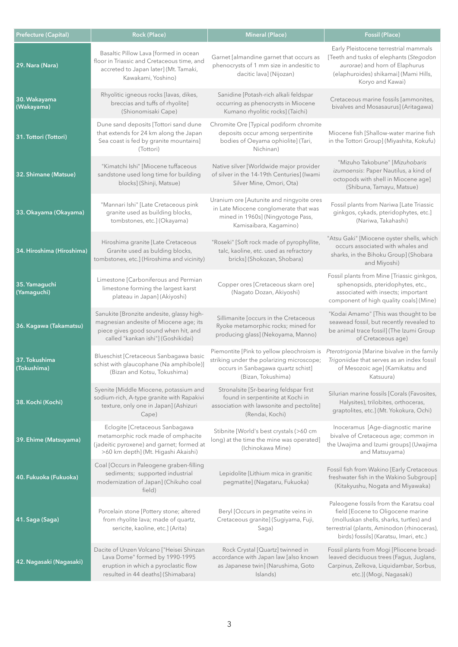| <b>Prefecture (Capital)</b>  | Rock (Place)                                                                                                                                                      | <b>Mineral (Place)</b>                                                                                                                             | Fossil (Place)                                                                                                                                                                                                   |
|------------------------------|-------------------------------------------------------------------------------------------------------------------------------------------------------------------|----------------------------------------------------------------------------------------------------------------------------------------------------|------------------------------------------------------------------------------------------------------------------------------------------------------------------------------------------------------------------|
| 29. Nara (Nara)              | Basaltic Pillow Lava [formed in ocean<br>floor in Triassic and Cretaceous time, and<br>accreted to Japan later] (Mt. Tamaki,<br>Kawakami, Yoshino)                | Garnet [almandine garnet that occurs as<br>phenocrysts of 1 mm size in andesitic to<br>dacitic lava] (Nijozan)                                     | Early Pleistocene terrestrial mammals<br>[Teeth and tusks of elephants (Stegodon<br>aurorae) and horn of Elaphurus<br>(elaphuroides) shikamai] (Mami Hills,<br>Koryo and Kawai)                                  |
| 30. Wakayama<br>(Wakayama)   | Rhyolitic igneous rocks [lavas, dikes,<br>breccias and tuffs of rhyolite]<br>(Shionomisaki Cape)                                                                  | Sanidine [Potash-rich alkali feldspar<br>occurring as phenocrysts in Miocene<br>Kumano rhyolitic rocks] (Taichi)                                   | Cretaceous marine fossils [ammonites,<br>bivalves and Mosasaurus] (Aritagawa)                                                                                                                                    |
| 31. Tottori (Tottori)        | Dune sand deposits [Tottori sand dune<br>that extends for 24 km along the Japan<br>Sea coast is fed by granite mountains]<br>(Tottori)                            | Chromite Ore [Typical podiform chromite<br>deposits occur among serpentinite<br>bodies of Oeyama ophiolite] (Tari,<br>Nichinan)                    | Miocene fish [Shallow-water marine fish<br>in the Tottori Group] (Miyashita, Kokufu)                                                                                                                             |
| 32. Shimane (Matsue)         | "Kimatchi Ishi" [Miocene tuffaceous<br>sandstone used long time for building<br>blocks] (Shinji, Matsue)                                                          | Native silver [Worldwide major provider<br>of silver in the 14-19th Centuries] (Iwami<br>Silver Mine, Omori, Ota)                                  | "Mizuho Takobune" [Mizuhobaris<br>izumoensis: Paper Nautilus, a kind of<br>octopods with shell in Miocene age]<br>(Shibuna, Tamayu, Matsue)                                                                      |
| 33. Okayama (Okayama)        | "Mannari Ishi" [Late Cretaceous pink<br>granite used as building blocks,<br>tombstones, etc.] (Okayama)                                                           | Uranium ore [Autunite and ningyoite ores<br>in Late Miocene conglomerate that was<br>mined in 1960s] (Ningyotoge Pass,<br>Kamisaibara, Kagamino)   | Fossil plants from Nariwa [Late Triassic<br>ginkgos, cykads, pteridophytes, etc.]<br>(Nariwa, Takahashi)                                                                                                         |
| 34. Hiroshima (Hiroshima)    | Hiroshima granite [Late Cretaceous<br>Granite used as bulding blocks,<br>tombstones, etc.] (Hiroshima and vicinity)                                               | "Roseki" [Soft rock made of pyrophyllite,<br>talc, kaoline, etc. used as refractory<br>bricks] (Shokozan, Shobara)                                 | "Atsu Gaki" [Miocene oyster shells, which<br>occurs associated with whales and<br>sharks, in the Bihoku Group] (Shobara<br>and Miyoshi)                                                                          |
| 35. Yamaguchi<br>(Yamaguchi) | Limestone [Carboniferous and Permian<br>limestone forming the largest karst<br>plateau in Japan] (Akiyoshi)                                                       | Copper ores [Cretaceous skarn ore]<br>(Nagato Dozan, Akiyoshi)                                                                                     | Fossil plants from Mine [Triassic ginkgos,<br>sphenopsids, pteridophytes, etc.,<br>associated with insects; important<br>component of high quality coals] (Mine)                                                 |
| 36. Kagawa (Takamatsu)       | Sanukite [Bronzite andesite, glassy high-<br>magnesian andesite of Miocene age; its<br>piece gives good sound when hit, and<br>called "kankan ishi"] (Goshikidai) | Sillimanite [occurs in the Cretaceous<br>Ryoke metamorphic rocks; mined for<br>producing glass] (Nekoyama, Manno)                                  | "Kodai Amamo" [This was thought to be<br>seawead fossil, but recently revealed to<br>be animal trace fossil] (The Izumi Group<br>of Cretaceous age)                                                              |
| 37. Tokushima<br>(Tokushima) | Blueschist [Cretaceous Sanbagawa basic<br>schist with glaucophane (Na amphibole)]<br>(Bizan and Kotsu, Tokushima)                                                 | Piemontite [Pink to yellow pleochroism is<br>striking under the polarizing microscope;<br>occurs in Sanbagawa quartz schist]<br>(Bizan, Tokushima) | Pterotrigonia [Marine bivalve in the family<br>Trigoniidae that serves as an index fossil<br>of Mesozoic age] (Kamikatsu and<br>Katsuura)                                                                        |
| 38. Kochi (Kochi)            | Syenite [Middle Miocene, potassium and<br>sodium-rich, A-type granite with Rapakivi<br>texture, only one in Japan] (Ashizuri<br>Cape)                             | Stronalsite [Sr-bearing feldspar first<br>found in serpentinite at Kochi in<br>association with lawsonite and pectolite]<br>(Rendai, Kochi)        | Silurian marine fossils [Corals (Favosites,<br>Halysites), trilobites, orthoceras,<br>graptolites, etc.] (Mt. Yokokura, Ochi)                                                                                    |
| 39. Ehime (Matsuyama)        | Eclogite [Cretaceous Sanbagawa<br>metamorphic rock made of omphacite<br>(jadeitic pyroxene) and garnet; formed at<br>>60 km depth] (Mt. Higashi Akaishi)          | Stibnite [World's best crystals (>60 cm<br>long) at the time the mine was operated]<br>(Ichinokawa Mine)                                           | Inoceramus [Age-diagnostic marine<br>bivalve of Cretaceous age; common in<br>the Uwajima and Izumi groups] (Uwajima<br>and Matsuyama)                                                                            |
| 40. Fukuoka (Fukuoka)        | Coal [Occurs in Paleogene graben-filling<br>sediments; supported industrial<br>modernization of Japan] (Chikuho coal<br>field)                                    | Lepidolite [Lithium mica in granitic<br>pegmatite] (Nagataru, Fukuoka)                                                                             | Fossil fish from Wakino [Early Cretaceous<br>freshwater fish in the Wakino Subgroup]<br>(Kitakyushu, Nogata and Miyawaka)                                                                                        |
| 41. Saga (Saga)              | Porcelain stone [Pottery stone; altered<br>from rhyolite lava; made of quartz,<br>sericite, kaoline, etc.] (Arita)                                                | Beryl [Occurs in pegmatite veins in<br>Cretaceous granite] (Sugiyama, Fuji,<br>Saga)                                                               | Paleogene fossils from the Karatsu coal<br>field [Eocene to Oligocene marine<br>(molluskan shells, sharks, turtles) and<br>terrestrial (plants, Aminodon (rhinoceras),<br>birds) fossils] (Karatsu, Imari, etc.) |
| 42. Nagasaki (Nagasaki)      | Dacite of Unzen Volcano ["Heisei Shinzan<br>Lava Dome" formed by 1990-1995<br>eruption in which a pyroclastic flow<br>resulted in 44 deaths] (Shimabara)          | Rock Crystal [Quartz] twinned in<br>accordance with Japan law [also known<br>as Japanese twin] (Narushima, Goto<br>Islands)                        | Fossil plants from Mogi [Pliocene broad-<br>leaved deciduous trees (Fagus, Juglans,<br>Carpinus, Zelkova, Liquidambar, Sorbus,<br>etc.)] (Mogi, Nagasaki)                                                        |